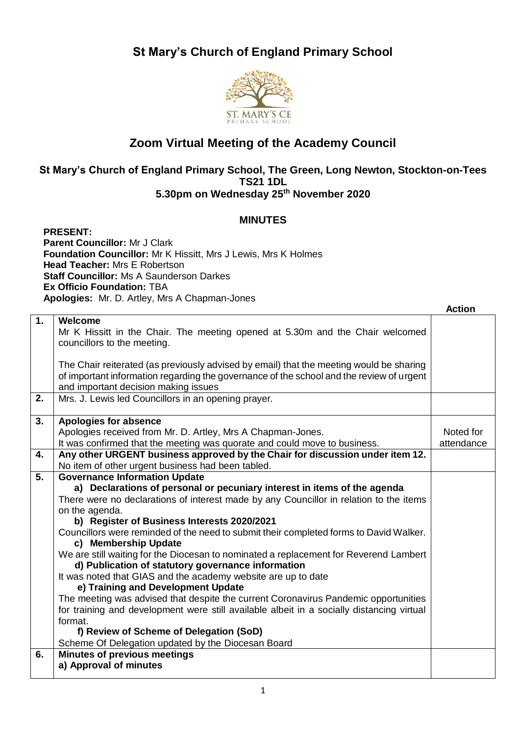## **St Mary's Church of England Primary School**



## **Zoom Virtual Meeting of the Academy Council**

## **St Mary's Church of England Primary School, The Green, Long Newton, Stockton-on-Tees TS21 1DL 5.30pm on Wednesday 25th November 2020**

## **MINUTES**

**PRESENT: Parent Councillor:** Mr J Clark **Foundation Councillor:** Mr K Hissitt, Mrs J Lewis, Mrs K Holmes **Head Teacher:** Mrs E Robertson **Staff Councillor:** Ms A Saunderson Darkes **Ex Officio Foundation:** TBA **Apologies:** Mr. D. Artley, Mrs A Chapman-Jones

|    |                                                                                           | <b>Action</b> |
|----|-------------------------------------------------------------------------------------------|---------------|
| 1. | Welcome                                                                                   |               |
|    | Mr K Hissitt in the Chair. The meeting opened at 5.30m and the Chair welcomed             |               |
|    | councillors to the meeting.                                                               |               |
|    |                                                                                           |               |
|    | The Chair reiterated (as previously advised by email) that the meeting would be sharing   |               |
|    | of important information regarding the governance of the school and the review of urgent  |               |
|    | and important decision making issues                                                      |               |
| 2. | Mrs. J. Lewis led Councillors in an opening prayer.                                       |               |
|    |                                                                                           |               |
| 3. | <b>Apologies for absence</b>                                                              |               |
|    | Apologies received from Mr. D. Artley, Mrs A Chapman-Jones.                               | Noted for     |
|    | It was confirmed that the meeting was quorate and could move to business.                 | attendance    |
| 4. | Any other URGENT business approved by the Chair for discussion under item 12.             |               |
|    | No item of other urgent business had been tabled.                                         |               |
| 5. | <b>Governance Information Update</b>                                                      |               |
|    | a) Declarations of personal or pecuniary interest in items of the agenda                  |               |
|    | There were no declarations of interest made by any Councillor in relation to the items    |               |
|    | on the agenda.                                                                            |               |
|    | b) Register of Business Interests 2020/2021                                               |               |
|    | Councillors were reminded of the need to submit their completed forms to David Walker.    |               |
|    | c) Membership Update                                                                      |               |
|    | We are still waiting for the Diocesan to nominated a replacement for Reverend Lambert     |               |
|    | d) Publication of statutory governance information                                        |               |
|    | It was noted that GIAS and the academy website are up to date                             |               |
|    | e) Training and Development Update                                                        |               |
|    | The meeting was advised that despite the current Coronavirus Pandemic opportunities       |               |
|    | for training and development were still available albeit in a socially distancing virtual |               |
|    | format.                                                                                   |               |
|    | f) Review of Scheme of Delegation (SoD)                                                   |               |
|    | Scheme Of Delegation updated by the Diocesan Board                                        |               |
| 6. | <b>Minutes of previous meetings</b>                                                       |               |
|    | a) Approval of minutes                                                                    |               |
|    |                                                                                           |               |